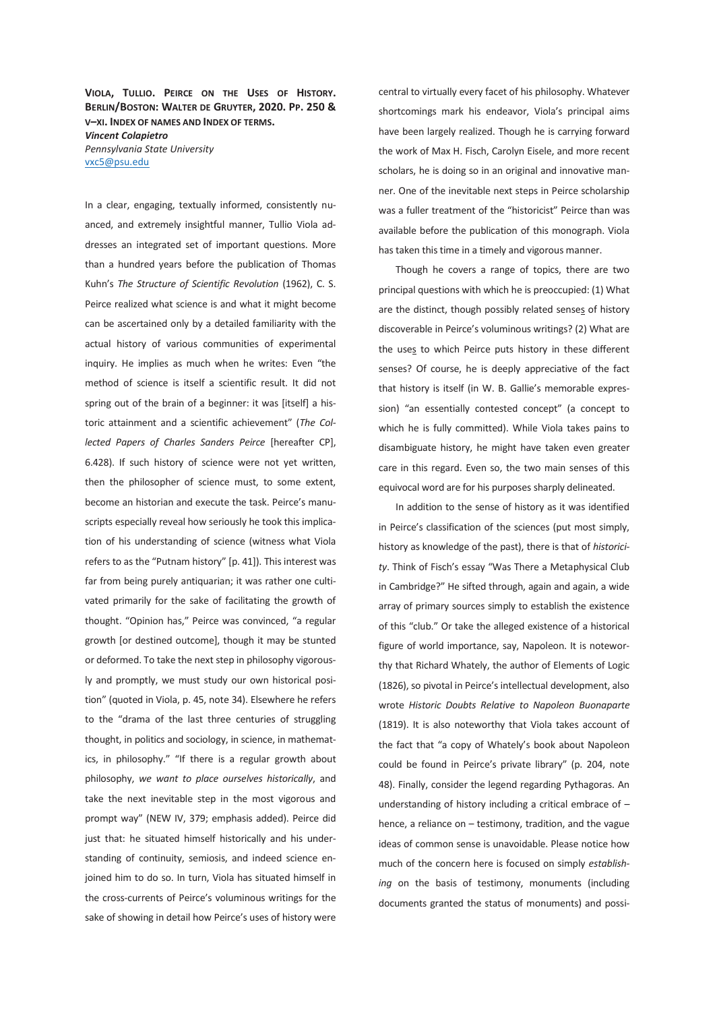**VIOLA, TULLIO. PEIRCE ON THE USES OF HISTORY. BERLIN/BOSTON: WALTER DE GRUYTER, 2020. PP. 250 & V–XI. INDEX OF NAMES AND INDEX OF TERMS.**  *Vincent Colapietro Pennsylvania State University*  vxc5@psu.edu

In a clear, engaging, textually informed, consistently nuanced, and extremely insightful manner, Tullio Viola addresses an integrated set of important questions. More than a hundred years before the publication of Thomas Kuhn's *The Structure of Scientific Revolution* (1962), C. S. Peirce realized what science is and what it might become can be ascertained only by a detailed familiarity with the actual history of various communities of experimental inquiry. He implies as much when he writes: Even "the method of science is itself a scientific result. It did not spring out of the brain of a beginner: it was [itself] a historic attainment and a scientific achievement" (*The Collected Papers of Charles Sanders Peirce* [hereafter CP], 6.428). If such history of science were not yet written, then the philosopher of science must, to some extent, become an historian and execute the task. Peirce's manuscripts especially reveal how seriously he took this implication of his understanding of science (witness what Viola refers to as the "Putnam history" [p. 41]). This interest was far from being purely antiquarian; it was rather one cultivated primarily for the sake of facilitating the growth of thought. "Opinion has," Peirce was convinced, "a regular growth [or destined outcome], though it may be stunted or deformed. To take the next step in philosophy vigorously and promptly, we must study our own historical position" (quoted in Viola, p. 45, note 34). Elsewhere he refers to the "drama of the last three centuries of struggling thought, in politics and sociology, in science, in mathematics, in philosophy." "If there is a regular growth about philosophy, *we want to place ourselves historically*, and take the next inevitable step in the most vigorous and prompt way" (NEW IV, 379; emphasis added). Peirce did just that: he situated himself historically and his understanding of continuity, semiosis, and indeed science enjoined him to do so. In turn, Viola has situated himself in the cross-currents of Peirce's voluminous writings for the sake of showing in detail how Peirce's uses of history were

central to virtually every facet of his philosophy. Whatever shortcomings mark his endeavor, Viola's principal aims have been largely realized. Though he is carrying forward the work of Max H. Fisch, Carolyn Eisele, and more recent scholars, he is doing so in an original and innovative manner. One of the inevitable next steps in Peirce scholarship was a fuller treatment of the "historicist" Peirce than was available before the publication of this monograph. Viola has taken this time in a timely and vigorous manner.

Though he covers a range of topics, there are two principal questions with which he is preoccupied: (1) What are the distinct, though possibly related senses of history discoverable in Peirce's voluminous writings? (2) What are the uses to which Peirce puts history in these different senses? Of course, he is deeply appreciative of the fact that history is itself (in W. B. Gallie's memorable expression) "an essentially contested concept" (a concept to which he is fully committed). While Viola takes pains to disambiguate history, he might have taken even greater care in this regard. Even so, the two main senses of this equivocal word are for his purposes sharply delineated.

In addition to the sense of history as it was identified in Peirce's classification of the sciences (put most simply, history as knowledge of the past), there is that of *historicity*. Think of Fisch's essay "Was There a Metaphysical Club in Cambridge?" He sifted through, again and again, a wide array of primary sources simply to establish the existence of this "club." Or take the alleged existence of a historical figure of world importance, say, Napoleon. It is noteworthy that Richard Whately, the author of Elements of Logic (1826), so pivotal in Peirce's intellectual development, also wrote *Historic Doubts Relative to Napoleon Buonaparte* (1819). It is also noteworthy that Viola takes account of the fact that "a copy of Whately's book about Napoleon could be found in Peirce's private library" (p. 204, note 48). Finally, consider the legend regarding Pythagoras. An understanding of history including a critical embrace of – hence, a reliance on – testimony, tradition, and the vague ideas of common sense is unavoidable. Please notice how much of the concern here is focused on simply *establishing* on the basis of testimony, monuments (including documents granted the status of monuments) and possi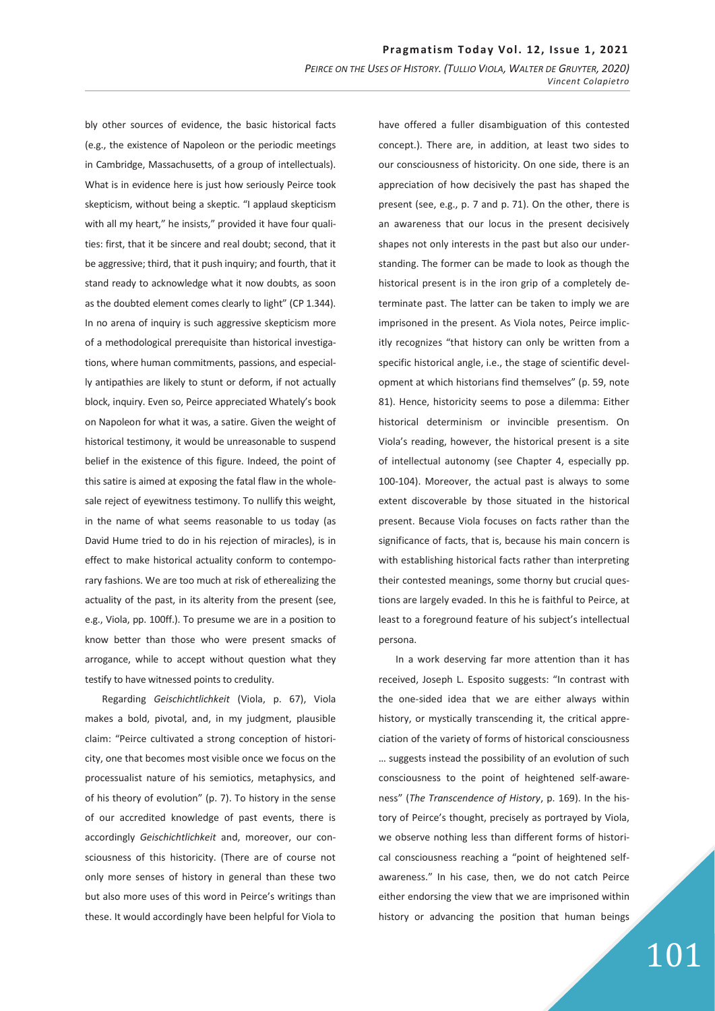bly other sources of evidence, the basic historical facts (e.g., the existence of Napoleon or the periodic meetings in Cambridge, Massachusetts, of a group of intellectuals). What is in evidence here is just how seriously Peirce took skepticism, without being a skeptic. "I applaud skepticism with all my heart," he insists," provided it have four qualities: first, that it be sincere and real doubt; second, that it be aggressive; third, that it push inquiry; and fourth, that it stand ready to acknowledge what it now doubts, as soon as the doubted element comes clearly to light" (CP 1.344). In no arena of inquiry is such aggressive skepticism more of a methodological prerequisite than historical investigations, where human commitments, passions, and especially antipathies are likely to stunt or deform, if not actually block, inquiry. Even so, Peirce appreciated Whately's book on Napoleon for what it was, a satire. Given the weight of historical testimony, it would be unreasonable to suspend belief in the existence of this figure. Indeed, the point of this satire is aimed at exposing the fatal flaw in the wholesale reject of eyewitness testimony. To nullify this weight, in the name of what seems reasonable to us today (as David Hume tried to do in his rejection of miracles), is in effect to make historical actuality conform to contemporary fashions. We are too much at risk of etherealizing the actuality of the past, in its alterity from the present (see, e.g., Viola, pp. 100ff.). To presume we are in a position to know better than those who were present smacks of arrogance, while to accept without question what they testify to have witnessed points to credulity.

Regarding *Geischichtlichkeit* (Viola, p. 67), Viola makes a bold, pivotal, and, in my judgment, plausible claim: "Peirce cultivated a strong conception of historicity, one that becomes most visible once we focus on the processualist nature of his semiotics, metaphysics, and of his theory of evolution" (p. 7). To history in the sense of our accredited knowledge of past events, there is accordingly *Geischichtlichkeit* and, moreover, our consciousness of this historicity. (There are of course not only more senses of history in general than these two but also more uses of this word in Peirce's writings than these. It would accordingly have been helpful for Viola to

have offered a fuller disambiguation of this contested concept.). There are, in addition, at least two sides to our consciousness of historicity. On one side, there is an appreciation of how decisively the past has shaped the present (see, e.g., p. 7 and p. 71). On the other, there is an awareness that our locus in the present decisively shapes not only interests in the past but also our understanding. The former can be made to look as though the historical present is in the iron grip of a completely determinate past. The latter can be taken to imply we are imprisoned in the present. As Viola notes, Peirce implicitly recognizes "that history can only be written from a specific historical angle, i.e., the stage of scientific development at which historians find themselves" (p. 59, note 81). Hence, historicity seems to pose a dilemma: Either historical determinism or invincible presentism. On Viola's reading, however, the historical present is a site of intellectual autonomy (see Chapter 4, especially pp. 100-104). Moreover, the actual past is always to some extent discoverable by those situated in the historical present. Because Viola focuses on facts rather than the significance of facts, that is, because his main concern is with establishing historical facts rather than interpreting their contested meanings, some thorny but crucial questions are largely evaded. In this he is faithful to Peirce, at least to a foreground feature of his subject's intellectual persona.

In a work deserving far more attention than it has received, Joseph L. Esposito suggests: "In contrast with the one-sided idea that we are either always within history, or mystically transcending it, the critical appreciation of the variety of forms of historical consciousness … suggests instead the possibility of an evolution of such consciousness to the point of heightened self-awareness" (*The Transcendence of History*, p. 169). In the history of Peirce's thought, precisely as portrayed by Viola, we observe nothing less than different forms of historical consciousness reaching a "point of heightened selfawareness." In his case, then, we do not catch Peirce either endorsing the view that we are imprisoned within history or advancing the position that human beings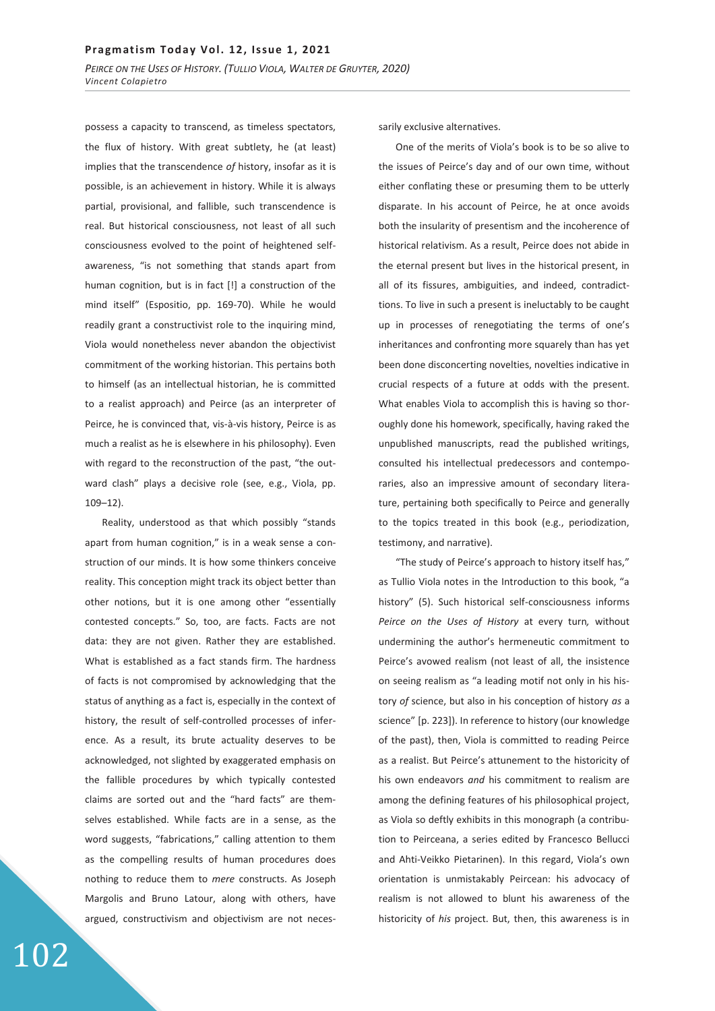possess a capacity to transcend, as timeless spectators, the flux of history. With great subtlety, he (at least) implies that the transcendence *of* history, insofar as it is possible, is an achievement in history. While it is always partial, provisional, and fallible, such transcendence is real. But historical consciousness, not least of all such consciousness evolved to the point of heightened selfawareness, "is not something that stands apart from human cognition, but is in fact [!] a construction of the mind itself" (Espositio, pp. 169-70). While he would readily grant a constructivist role to the inquiring mind, Viola would nonetheless never abandon the objectivist commitment of the working historian. This pertains both to himself (as an intellectual historian, he is committed to a realist approach) and Peirce (as an interpreter of Peirce, he is convinced that, vis-à-vis history, Peirce is as much a realist as he is elsewhere in his philosophy). Even with regard to the reconstruction of the past, "the outward clash" plays a decisive role (see, e.g., Viola, pp. 109–12).

Reality, understood as that which possibly "stands apart from human cognition," is in a weak sense a construction of our minds. It is how some thinkers conceive reality. This conception might track its object better than other notions, but it is one among other "essentially contested concepts." So, too, are facts. Facts are not data: they are not given. Rather they are established. What is established as a fact stands firm. The hardness of facts is not compromised by acknowledging that the status of anything as a fact is, especially in the context of history, the result of self-controlled processes of inference. As a result, its brute actuality deserves to be acknowledged, not slighted by exaggerated emphasis on the fallible procedures by which typically contested claims are sorted out and the "hard facts" are themselves established. While facts are in a sense, as the word suggests, "fabrications," calling attention to them as the compelling results of human procedures does nothing to reduce them to *mere* constructs. As Joseph Margolis and Bruno Latour, along with others, have argued, constructivism and objectivism are not necessarily exclusive alternatives.

One of the merits of Viola's book is to be so alive to the issues of Peirce's day and of our own time, without either conflating these or presuming them to be utterly disparate. In his account of Peirce, he at once avoids both the insularity of presentism and the incoherence of historical relativism. As a result, Peirce does not abide in the eternal present but lives in the historical present, in all of its fissures, ambiguities, and indeed, contradicttions. To live in such a present is ineluctably to be caught up in processes of renegotiating the terms of one's inheritances and confronting more squarely than has yet been done disconcerting novelties, novelties indicative in crucial respects of a future at odds with the present. What enables Viola to accomplish this is having so thoroughly done his homework, specifically, having raked the unpublished manuscripts, read the published writings, consulted his intellectual predecessors and contemporaries, also an impressive amount of secondary literature, pertaining both specifically to Peirce and generally to the topics treated in this book (e.g., periodization, testimony, and narrative).

"The study of Peirce's approach to history itself has," as Tullio Viola notes in the Introduction to this book, "a history" (5). Such historical self-consciousness informs *Peirce on the Uses of History* at every turn*,* without undermining the author's hermeneutic commitment to Peirce's avowed realism (not least of all, the insistence on seeing realism as "a leading motif not only in his history *of* science, but also in his conception of history *as* a science" [p. 223]). In reference to history (our knowledge of the past), then, Viola is committed to reading Peirce as a realist. But Peirce's attunement to the historicity of his own endeavors *and* his commitment to realism are among the defining features of his philosophical project, as Viola so deftly exhibits in this monograph (a contribution to Peirceana, a series edited by Francesco Bellucci and Ahti-Veikko Pietarinen). In this regard, Viola's own orientation is unmistakably Peircean: his advocacy of realism is not allowed to blunt his awareness of the historicity of *his* project. But, then, this awareness is in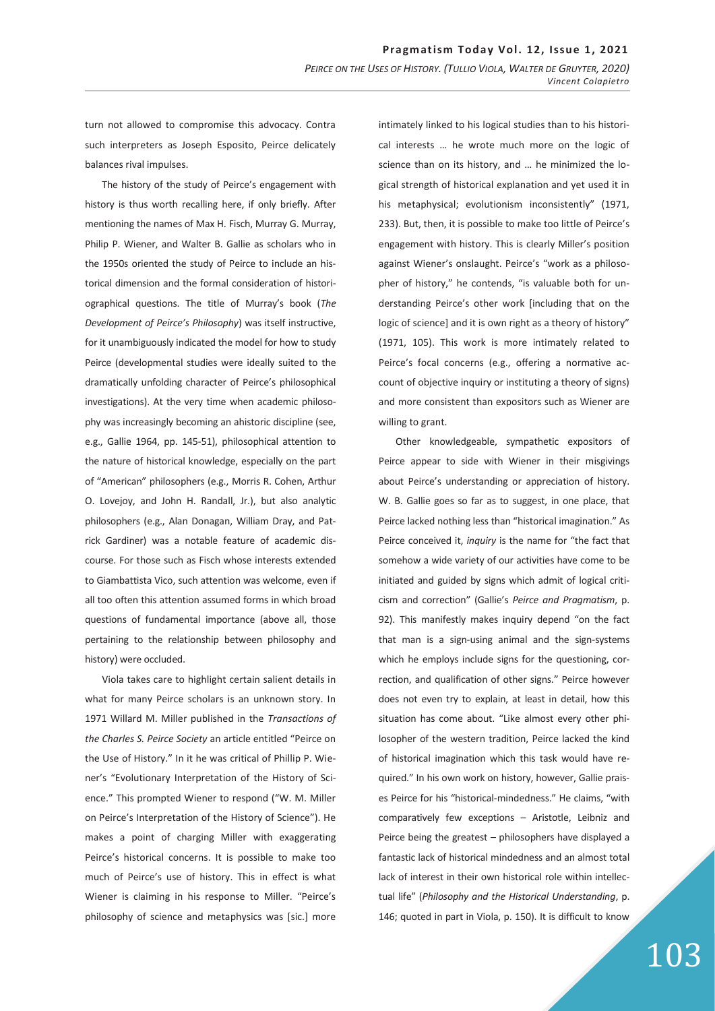turn not allowed to compromise this advocacy. Contra such interpreters as Joseph Esposito, Peirce delicately balances rival impulses.

The history of the study of Peirce's engagement with history is thus worth recalling here, if only briefly. After mentioning the names of Max H. Fisch, Murray G. Murray, Philip P. Wiener, and Walter B. Gallie as scholars who in the 1950s oriented the study of Peirce to include an historical dimension and the formal consideration of historiographical questions. The title of Murray's book (*The Development of Peirce's Philosophy*) was itself instructive, for it unambiguously indicated the model for how to study Peirce (developmental studies were ideally suited to the dramatically unfolding character of Peirce's philosophical investigations). At the very time when academic philosophy was increasingly becoming an ahistoric discipline (see, e.g., Gallie 1964, pp. 145-51), philosophical attention to the nature of historical knowledge, especially on the part of "American" philosophers (e.g., Morris R. Cohen, Arthur O. Lovejoy, and John H. Randall, Jr.), but also analytic philosophers (e.g., Alan Donagan, William Dray, and Patrick Gardiner) was a notable feature of academic discourse. For those such as Fisch whose interests extended to Giambattista Vico, such attention was welcome, even if all too often this attention assumed forms in which broad questions of fundamental importance (above all, those pertaining to the relationship between philosophy and history) were occluded.

Viola takes care to highlight certain salient details in what for many Peirce scholars is an unknown story. In 1971 Willard M. Miller published in the *Transactions of the Charles S. Peirce Society* an article entitled "Peirce on the Use of History." In it he was critical of Phillip P. Wiener's "Evolutionary Interpretation of the History of Science." This prompted Wiener to respond ("W. M. Miller on Peirce's Interpretation of the History of Science"). He makes a point of charging Miller with exaggerating Peirce's historical concerns. It is possible to make too much of Peirce's use of history. This in effect is what Wiener is claiming in his response to Miller. "Peirce's philosophy of science and metaphysics was [sic.] more

intimately linked to his logical studies than to his historical interests … he wrote much more on the logic of science than on its history, and … he minimized the logical strength of historical explanation and yet used it in his metaphysical; evolutionism inconsistently" (1971, 233). But, then, it is possible to make too little of Peirce's engagement with history. This is clearly Miller's position against Wiener's onslaught. Peirce's "work as a philosopher of history," he contends, "is valuable both for understanding Peirce's other work [including that on the logic of science] and it is own right as a theory of history" (1971, 105). This work is more intimately related to Peirce's focal concerns (e.g., offering a normative account of objective inquiry or instituting a theory of signs) and more consistent than expositors such as Wiener are willing to grant.

Other knowledgeable, sympathetic expositors of Peirce appear to side with Wiener in their misgivings about Peirce's understanding or appreciation of history. W. B. Gallie goes so far as to suggest, in one place, that Peirce lacked nothing less than "historical imagination." As Peirce conceived it, *inquiry* is the name for "the fact that somehow a wide variety of our activities have come to be initiated and guided by signs which admit of logical criticism and correction" (Gallie's *Peirce and Pragmatism*, p. 92). This manifestly makes inquiry depend "on the fact that man is a sign-using animal and the sign-systems which he employs include signs for the questioning, correction, and qualification of other signs." Peirce however does not even try to explain, at least in detail, how this situation has come about. "Like almost every other philosopher of the western tradition, Peirce lacked the kind of historical imagination which this task would have required." In his own work on history, however, Gallie praises Peirce for his "historical-mindedness." He claims, "with comparatively few exceptions – Aristotle, Leibniz and Peirce being the greatest – philosophers have displayed a fantastic lack of historical mindedness and an almost total lack of interest in their own historical role within intellectual life" (*Philosophy and the Historical Understanding*, p. 146; quoted in part in Viola, p. 150). It is difficult to know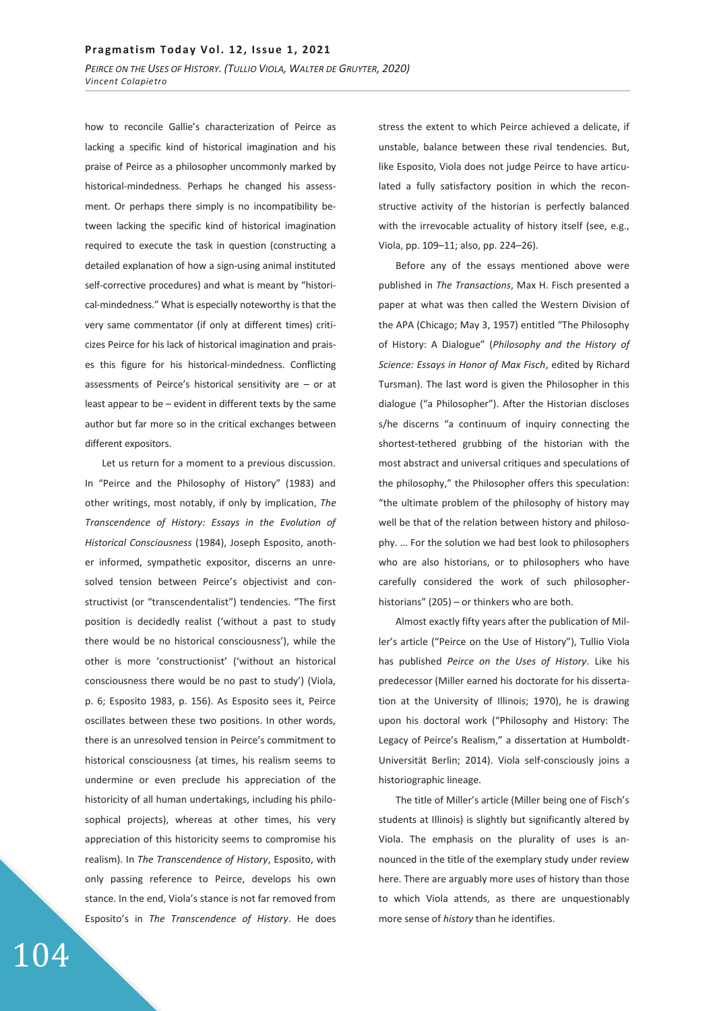how to reconcile Gallie's characterization of Peirce as lacking a specific kind of historical imagination and his praise of Peirce as a philosopher uncommonly marked by historical-mindedness. Perhaps he changed his assessment. Or perhaps there simply is no incompatibility between lacking the specific kind of historical imagination required to execute the task in question (constructing a detailed explanation of how a sign-using animal instituted self-corrective procedures) and what is meant by "historical-mindedness." What is especially noteworthy is that the very same commentator (if only at different times) criticizes Peirce for his lack of historical imagination and praises this figure for his historical-mindedness. Conflicting assessments of Peirce's historical sensitivity are – or at least appear to be – evident in different texts by the same author but far more so in the critical exchanges between different expositors.

Let us return for a moment to a previous discussion. In "Peirce and the Philosophy of History" (1983) and other writings, most notably, if only by implication, *The Transcendence of History: Essays in the Evolution of Historical Consciousness* (1984), Joseph Esposito, another informed, sympathetic expositor, discerns an unresolved tension between Peirce's objectivist and constructivist (or "transcendentalist") tendencies. "The first position is decidedly realist ('without a past to study there would be no historical consciousness'), while the other is more 'constructionist' ('without an historical consciousness there would be no past to study') (Viola, p. 6; Esposito 1983, p. 156). As Esposito sees it, Peirce oscillates between these two positions. In other words, there is an unresolved tension in Peirce's commitment to historical consciousness (at times, his realism seems to undermine or even preclude his appreciation of the historicity of all human undertakings, including his philosophical projects), whereas at other times, his very appreciation of this historicity seems to compromise his realism). In *The Transcendence of History*, Esposito, with only passing reference to Peirce, develops his own stance. In the end, Viola's stance is not far removed from Esposito's in *The Transcendence of History*. He does stress the extent to which Peirce achieved a delicate, if unstable, balance between these rival tendencies. But, like Esposito, Viola does not judge Peirce to have articulated a fully satisfactory position in which the reconstructive activity of the historian is perfectly balanced with the irrevocable actuality of history itself (see, e.g., Viola, pp. 109–11; also, pp. 224–26).

Before any of the essays mentioned above were published in *The Transactions*, Max H. Fisch presented a paper at what was then called the Western Division of the APA (Chicago; May 3, 1957) entitled "The Philosophy of History: A Dialogue" (*Philosophy and the History of Science: Essays in Honor of Max Fisch*, edited by Richard Tursman). The last word is given the Philosopher in this dialogue ("a Philosopher"). After the Historian discloses s/he discerns "a continuum of inquiry connecting the shortest-tethered grubbing of the historian with the most abstract and universal critiques and speculations of the philosophy," the Philosopher offers this speculation: "the ultimate problem of the philosophy of history may well be that of the relation between history and philosophy. … For the solution we had best look to philosophers who are also historians, or to philosophers who have carefully considered the work of such philosopherhistorians" (205) – or thinkers who are both.

Almost exactly fifty years after the publication of Miller's article ("Peirce on the Use of History"), Tullio Viola has published *Peirce on the Uses of History*. Like his predecessor (Miller earned his doctorate for his dissertation at the University of Illinois; 1970), he is drawing upon his doctoral work ("Philosophy and History: The Legacy of Peirce's Realism," a dissertation at Humboldt-Universität Berlin; 2014). Viola self-consciously joins a historiographic lineage.

The title of Miller's article (Miller being one of Fisch's students at Illinois) is slightly but significantly altered by Viola. The emphasis on the plurality of uses is announced in the title of the exemplary study under review here. There are arguably more uses of history than those to which Viola attends, as there are unquestionably more sense of *history* than he identifies.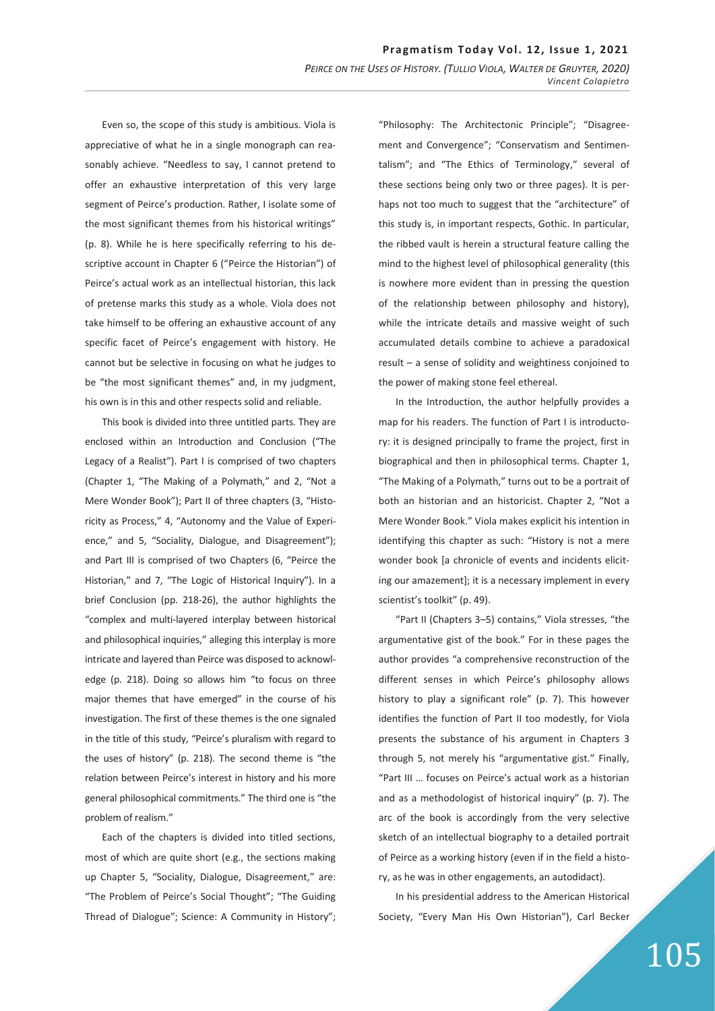Even so, the scope of this study is ambitious. Viola is appreciative of what he in a single monograph can reasonably achieve. "Needless to say, I cannot pretend to offer an exhaustive interpretation of this very large segment of Peirce's production. Rather, I isolate some of the most significant themes from his historical writings" (p. 8). While he is here specifically referring to his descriptive account in Chapter 6 ("Peirce the Historian") of Peirce's actual work as an intellectual historian, this lack of pretense marks this study as a whole. Viola does not take himself to be offering an exhaustive account of any specific facet of Peirce's engagement with history. He cannot but be selective in focusing on what he judges to be "the most significant themes" and, in my judgment, his own is in this and other respects solid and reliable.

This book is divided into three untitled parts. They are enclosed within an Introduction and Conclusion ("The Legacy of a Realist"). Part I is comprised of two chapters (Chapter 1, "The Making of a Polymath," and 2, "Not a Mere Wonder Book"); Part II of three chapters (3, "Historicity as Process," 4, "Autonomy and the Value of Experience," and 5, "Sociality, Dialogue, and Disagreement"); and Part III is comprised of two Chapters (6, "Peirce the Historian," and 7, "The Logic of Historical Inquiry"). In a brief Conclusion (pp. 218-26), the author highlights the "complex and multi-layered interplay between historical and philosophical inquiries," alleging this interplay is more intricate and layered than Peirce was disposed to acknowledge (p. 218). Doing so allows him "to focus on three major themes that have emerged" in the course of his investigation. The first of these themes is the one signaled in the title of this study, "Peirce's pluralism with regard to the uses of history" (p. 218). The second theme is "the relation between Peirce's interest in history and his more general philosophical commitments." The third one is "the problem of realism."

Each of the chapters is divided into titled sections, most of which are quite short (e.g., the sections making up Chapter 5, "Sociality, Dialogue, Disagreement," are: "The Problem of Peirce's Social Thought"; "The Guiding Thread of Dialogue"; Science: A Community in History";

"Philosophy: The Architectonic Principle"; "Disagreement and Convergence"; "Conservatism and Sentimentalism"; and "The Ethics of Terminology," several of these sections being only two or three pages). It is perhaps not too much to suggest that the "architecture" of this study is, in important respects, Gothic. In particular, the ribbed vault is herein a structural feature calling the mind to the highest level of philosophical generality (this is nowhere more evident than in pressing the question of the relationship between philosophy and history), while the intricate details and massive weight of such accumulated details combine to achieve a paradoxical result – a sense of solidity and weightiness conjoined to the power of making stone feel ethereal.

In the Introduction, the author helpfully provides a map for his readers. The function of Part I is introductory: it is designed principally to frame the project, first in biographical and then in philosophical terms. Chapter 1, "The Making of a Polymath," turns out to be a portrait of both an historian and an historicist. Chapter 2, "Not a Mere Wonder Book." Viola makes explicit his intention in identifying this chapter as such: "History is not a mere wonder book [a chronicle of events and incidents eliciting our amazement]; it is a necessary implement in every scientist's toolkit" (p. 49).

"Part II (Chapters 3–5) contains," Viola stresses, "the argumentative gist of the book." For in these pages the author provides "a comprehensive reconstruction of the different senses in which Peirce's philosophy allows history to play a significant role" (p. 7). This however identifies the function of Part II too modestly, for Viola presents the substance of his argument in Chapters 3 through 5, not merely his "argumentative gist." Finally, "Part III … focuses on Peirce's actual work as a historian and as a methodologist of historical inquiry" (p. 7). The arc of the book is accordingly from the very selective sketch of an intellectual biography to a detailed portrait of Peirce as a working history (even if in the field a history, as he was in other engagements, an autodidact).

In his presidential address to the American Historical Society, "Every Man His Own Historian"), Carl Becker

## 105